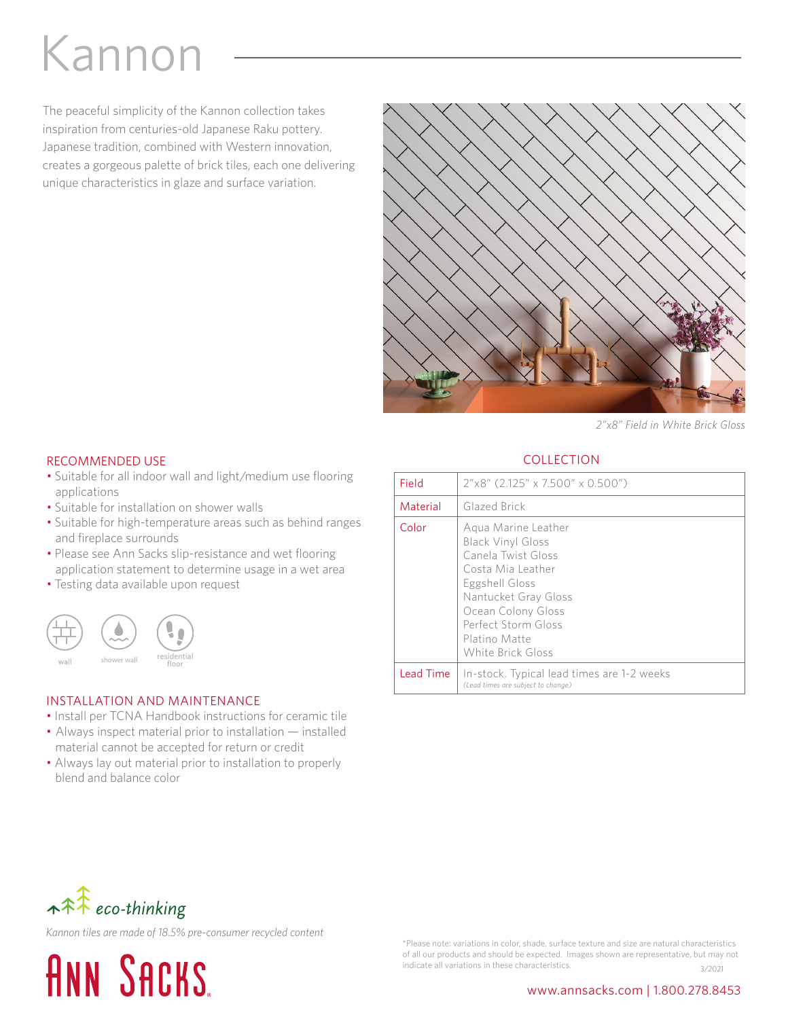# Kannon

The peaceful simplicity of the Kannon collection takes inspiration from centuries-old Japanese Raku pottery. Japanese tradition, combined with Western innovation, creates a gorgeous palette of brick tiles, each one delivering unique characteristics in glaze and surface variation.



*2"x8" Field in White Brick Gloss*

#### RECOMMENDED USE

- Suitable for all indoor wall and light/medium use flooring applications
- Suitable for installation on shower walls
- Suitable for high-temperature areas such as behind ranges and fireplace surrounds
- Please see Ann Sacks slip-resistance and wet flooring application statement to determine usage in a wet area
- Testing data available upon request



#### INSTALLATION AND MAINTENANCE

- Install per TCNA Handbook instructions for ceramic tile
- Always inspect material prior to installation installed
- material cannot be accepted for return or credit • Always lay out material prior to installation to properly blend and balance color

### **COLLECTION**

| Field     | 2"x8" (2.125" x 7.500" x 0.500")                                                                                                                                                                                        |
|-----------|-------------------------------------------------------------------------------------------------------------------------------------------------------------------------------------------------------------------------|
| Material  | Glazed Brick                                                                                                                                                                                                            |
| Color     | Agua Marine Leather<br><b>Black Vinyl Gloss</b><br>Canela Twist Gloss<br>Costa Mia Leather<br>Eggshell Gloss<br>Nantucket Gray Gloss<br>Ocean Colony Gloss<br>Perfect Storm Gloss<br>Platino Matte<br>White Brick Gloss |
| Lead Time | In-stock. Typical lead times are 1-2 weeks<br>(Lead times are subject to change)                                                                                                                                        |



*Kannon tiles are made of 18.5% pre-consumer recycled content*



\*Please note: variations in color, shade, surface texture and size are natural characteristics of all our products and should be expected. Images shown are representative, but may not indicate all variations in these characteristics.  $\frac{3}{2001}$